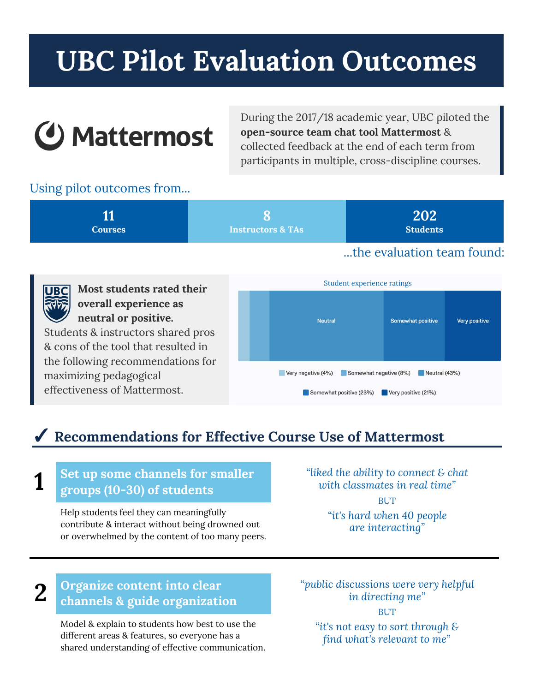# **UBC Pilot Evaluation Outcomes**

# **4 Mattermost**

During the 2017/18 academic year, UBC piloted the **open-source team chat tool Mattermost** & collected feedback at the end of each term from participants in multiple, cross-discipline courses.

## Using pilot outcomes from...

| <b>Courses</b> | <b>Instructors &amp; TAs</b> | 202<br><b>Students</b>     |
|----------------|------------------------------|----------------------------|
|                |                              | the evaluation team found: |



# ✓ **Recommendations for Effective Course Use of Mattermost**

#### **1 Set up some channels for smaller groups (10-30) of students**

Help students feel they can meaningfully contribute & interact without being drowned out or overwhelmed by the content of too many peers. *"liked the ability to connect & chat with classmates in real time"* **BUT** *"it's hard when 40 people are interacting"*

#### **2 Organize content into clear channels & guide organization**

Model & explain to students how best to use the different areas & features, so everyone has a shared understanding of effective communication. *"public discussions were very helpful in directing me"* **BUT** *"it's not easy to sort through & find what's relevant to me"*